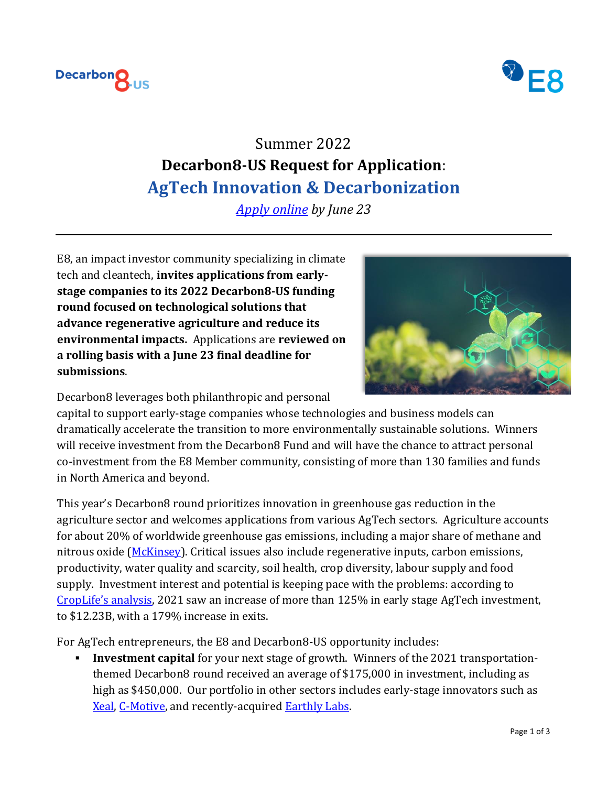



# Summer 2022 **Decarbon8-US Request for Application**: **AgTech Innovation & Decarbonization**

*[Apply online](https://app.dealum.com/#/company/application/new/73990/f8d2ve3f6tn58f5ymcczbdyyzdi3xzbc) by June 23*

E8, an impact investor community specializing in climate tech and cleantech, **invites applications from earlystage companies to its 2022 Decarbon8-US funding round focused on technological solutions that advance regenerative agriculture and reduce its environmental impacts.** Applications are **reviewed on a rolling basis with a June 23 final deadline for submissions**.



Decarbon8 leverages both philanthropic and personal

capital to support early-stage companies whose technologies and business models can dramatically accelerate the transition to more environmentally sustainable solutions. Winners will receive investment from the Decarbon8 Fund and will have the chance to attract personal co-investment from the E8 Member community, consisting of more than 130 families and funds in North America and beyond.

This year's Decarbon8 round prioritizes innovation in greenhouse gas reduction in the agriculture sector and welcomes applications from various AgTech sectors. Agriculture accounts for about 20% of worldwide greenhouse gas emissions, including a major share of methane and nitrous oxide [\(McKinsey\)](https://www.mckinsey.com/industries/agriculture/our-insights/reducing-agriculture-emissions-through-improved-farming-practices). Critical issues also include regenerative inputs, carbon emissions, productivity, water quality and scarcity, soil health, crop diversity, labour supply and food supply. Investment interest and potential is keeping pace with the problems: according to [CropLife's analysis](https://www.croplife.com/precision/2021-agtech-venture-capital-investment-and-exit-roundup/), 2021 saw an increase of more than 125% in early stage AgTech investment, to \$12.23B, with a 179% increase in exits.

For AgTech entrepreneurs, the E8 and Decarbon8-US opportunity includes:

**Investment capital** for your next stage of growth. Winners of the 2021 transportationthemed Decarbon8 round received an average of \$175,000 in investment, including as high as \$450,000. Our portfolio in other sectors includes early-stage innovators such as [Xeal,](https://xealenergy.com/) [C-Motive,](https://www.c-motive.com/) and recently-acquired [Earthly Labs.](https://www.chartindustries.com/Businesses-Brands/Earthly-Labs)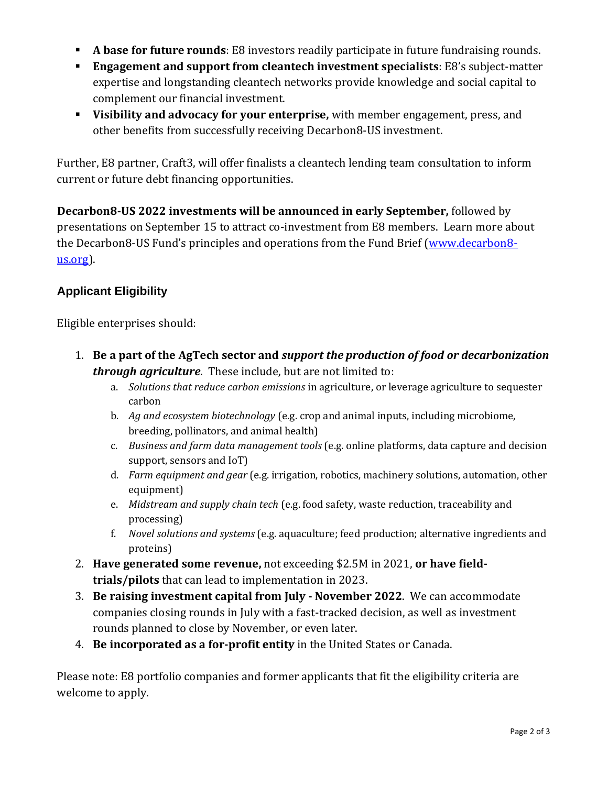- **A base for future rounds**: E8 investors readily participate in future fundraising rounds.
- **Engagement and support from cleantech investment specialists**: E8's subject-matter expertise and longstanding cleantech networks provide knowledge and social capital to complement our financial investment.
- **Visibility and advocacy for your enterprise,** with member engagement, press, and other benefits from successfully receiving Decarbon8-US investment.

Further, E8 partner, Craft3, will offer finalists a cleantech lending team consultation to inform current or future debt financing opportunities.

**Decarbon8-US 2022 investments will be announced in early September,** followed by presentations on September 15 to attract co-investment from E8 members. Learn more about the Decarbon8-US Fund's principles and operations from the Fund Brief [\(www.decarbon8](http://www.decarbon8-us.org/) [us.org\)](http://www.decarbon8-us.org/).

## **Applicant Eligibility**

Eligible enterprises should:

- 1. **Be a part of the AgTech sector and** *support the production of food or decarbonization through agriculture*. These include, but are not limited to:
	- a. *Solutions that reduce carbon emissions* in agriculture, or leverage agriculture to sequester carbon
	- b. *Ag and ecosystem biotechnology* (e.g. crop and animal inputs, including microbiome, breeding, pollinators, and animal health)
	- c. *Business and farm data management tools* (e.g. online platforms, data capture and decision support, sensors and IoT)
	- d. *Farm equipment and gear* (e.g. irrigation, robotics, machinery solutions, automation, other equipment)
	- e. *Midstream and supply chain tech* (e.g. food safety, waste reduction, traceability and processing)
	- f. *Novel solutions and systems* (e.g. aquaculture; feed production; alternative ingredients and proteins)
- 2. **Have generated some revenue,** not exceeding \$2.5M in 2021, **or have fieldtrials/pilots** that can lead to implementation in 2023.
- 3. **Be raising investment capital from July - November 2022**. We can accommodate companies closing rounds in July with a fast-tracked decision, as well as investment rounds planned to close by November, or even later.
- 4. **Be incorporated as a for-profit entity** in the United States or Canada.

Please note: E8 portfolio companies and former applicants that fit the eligibility criteria are welcome to apply.